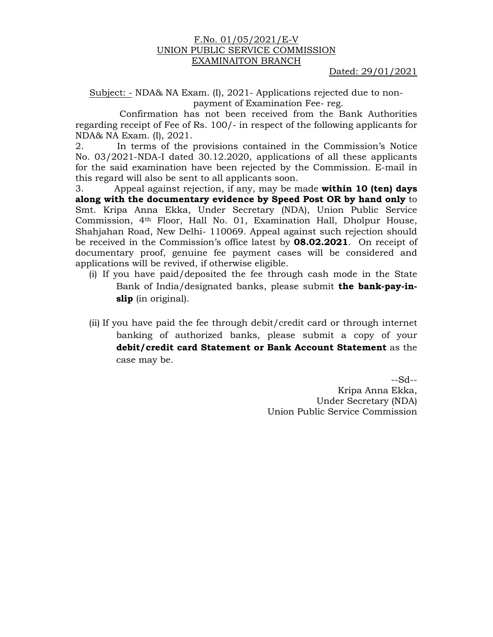## F.No. 01/05/2021/E-V UNION PUBLIC SERVICE COMMISSION EXAMINAITON BRANCH

Dated: 29/01/2021

Subject: - NDA& NA Exam. (I), 2021- Applications rejected due to nonpayment of Examination Fee- reg.

Confirmation has not been received from the Bank Authorities regarding receipt of Fee of Rs. 100/- in respect of the following applicants for NDA& NA Exam. (I), 2021.

2. In terms of the provisions contained in the Commission's Notice No. 03/2021-NDA-I dated 30.12.2020, applications of all these applicants for the said examination have been rejected by the Commission. E-mail in this regard will also be sent to all applicants soon.

3. Appeal against rejection, if any, may be made **within 10 (ten) days along with the documentary evidence by Speed Post OR by hand only** to Smt. Kripa Anna Ekka, Under Secretary (NDA), Union Public Service Commission, 4th Floor, Hall No. 01, Examination Hall, Dholpur House, Shahjahan Road, New Delhi- 110069. Appeal against such rejection should be received in the Commission's office latest by **08.02.2021**. On receipt of documentary proof, genuine fee payment cases will be considered and applications will be revived, if otherwise eligible.

- (i) If you have paid/deposited the fee through cash mode in the State Bank of India/designated banks, please submit **the bank-pay-inslip** (in original).
- (ii) If you have paid the fee through debit/credit card or through internet banking of authorized banks, please submit a copy of your **debit/credit card Statement or Bank Account Statement** as the case may be.

--Sd--

Kripa Anna Ekka, Under Secretary (NDA) Union Public Service Commission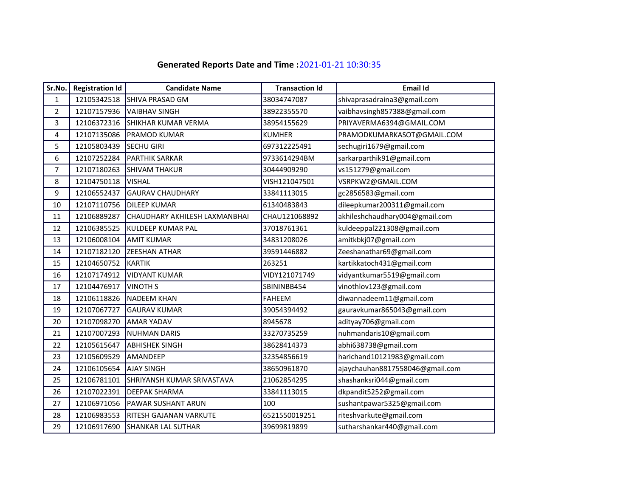## **Generated Reports Date and Time :**2021‐01‐21 10:30:35

| Sr.No.         | <b>Registration Id</b> | <b>Candidate Name</b>         | <b>Transaction Id</b> | <b>Email Id</b>                 |
|----------------|------------------------|-------------------------------|-----------------------|---------------------------------|
| $\mathbf{1}$   | 12105342518            | SHIVA PRASAD GM               | 38034747087           | shivaprasadraina3@gmail.com     |
| $\overline{2}$ | 12107157936            | <b>VAIBHAV SINGH</b>          | 38922355570           | vaibhavsingh857388@gmail.com    |
| 3              | 12106372316            | SHIKHAR KUMAR VERMA           | 38954155629           | PRIYAVERMA6394@GMAIL.COM        |
| 4              | 12107135086            | <b>PRAMOD KUMAR</b>           | <b>KUMHER</b>         | PRAMODKUMARKASOT@GMAIL.COM      |
| 5              | 12105803439            | <b>SECHU GIRI</b>             | 697312225491          | sechugiri1679@gmail.com         |
| 6              | 12107252284            | <b>PARTHIK SARKAR</b>         | 9733614294BM          | sarkarparthik91@gmail.com       |
| $\overline{7}$ | 12107180263            | <b>SHIVAM THAKUR</b>          | 30444909290           | vs151279@gmail.com              |
| 8              | 12104750118            | <b>VISHAL</b>                 | VISH121047501         | VSRPKW2@GMAIL.COM               |
| 9              | 12106552437            | <b>GAURAV CHAUDHARY</b>       | 33841113015           | gc2856583@gmail.com             |
| 10             | 12107110756            | <b>DILEEP KUMAR</b>           | 61340483843           | dileepkumar200311@gmail.com     |
| 11             | 12106889287            | CHAUDHARY AKHILESH LAXMANBHAI | CHAU121068892         | akhileshchaudhary004@gmail.com  |
| 12             | 12106385525            | <b>KULDEEP KUMAR PAL</b>      | 37018761361           | kuldeeppal221308@gmail.com      |
| 13             | 12106008104            | <b>AMIT KUMAR</b>             | 34831208026           | amitkbkj07@gmail.com            |
| 14             | 12107182120            | <b>ZEESHAN ATHAR</b>          | 39591446882           | Zeeshanathar69@gmail.com        |
| 15             | 12104650752            | <b>KARTIK</b>                 | 263251                | kartikkatoch431@gmail.com       |
| 16             | 12107174912            | <b>VIDYANT KUMAR</b>          | VIDY121071749         | vidyantkumar5519@gmail.com      |
| 17             | 12104476917            | <b>VINOTH S</b>               | SBININBB454           | vinothlov123@gmail.com          |
| 18             | 12106118826            | <b>NADEEM KHAN</b>            | <b>FAHEEM</b>         | diwannadeem11@gmail.com         |
| 19             | 12107067727            | <b>GAURAV KUMAR</b>           | 39054394492           | gauravkumar865043@gmail.com     |
| 20             | 12107098270            | <b>AMAR YADAV</b>             | 8945678               | adityay706@gmail.com            |
| 21             | 12107007293            | <b>NUHMAN DARIS</b>           | 33270735259           | nuhmandaris10@gmail.com         |
| 22             | 12105615647            | <b>ABHISHEK SINGH</b>         | 38628414373           | abhi638738@gmail.com            |
| 23             | 12105609529            | AMANDEEP                      | 32354856619           | harichand10121983@gmail.com     |
| 24             | 12106105654            | <b>AJAY SINGH</b>             | 38650961870           | ajaychauhan8817558046@gmail.com |
| 25             | 12106781101            | SHRIYANSH KUMAR SRIVASTAVA    | 21062854295           | shashanksri044@gmail.com        |
| 26             | 12107022391            | <b>DEEPAK SHARMA</b>          | 33841113015           | dkpandit5252@gmail.com          |
| 27             | 12106971056            | <b>PAWAR SUSHANT ARUN</b>     | 100                   | sushantpawar5325@gmail.com      |
| 28             | 12106983553            | <b>RITESH GAJANAN VARKUTE</b> | 6521550019251         | riteshvarkute@gmail.com         |
| 29             | 12106917690            | <b>SHANKAR LAL SUTHAR</b>     | 39699819899           | sutharshankar440@gmail.com      |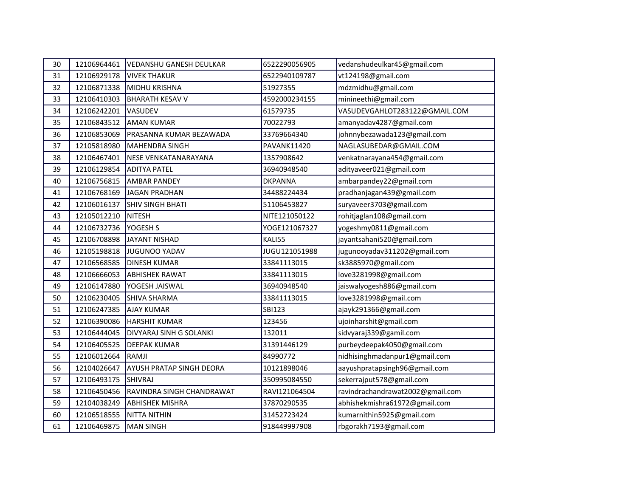| 30 | 12106964461 | <b>VEDANSHU GANESH DEULKAR</b>  | 6522290056905      | vedanshudeulkar45@gmail.com      |
|----|-------------|---------------------------------|--------------------|----------------------------------|
| 31 | 12106929178 | <b>VIVEK THAKUR</b>             | 6522940109787      | vt124198@gmail.com               |
| 32 | 12106871338 | <b>MIDHU KRISHNA</b>            | 51927355           | mdzmidhu@gmail.com               |
| 33 | 12106410303 | <b>BHARATH KESAV V</b>          | 4592000234155      | minineethi@gmail.com             |
| 34 | 12106242201 | VASUDEV                         | 61579735           | VASUDEVGAHLOT283122@GMAIL.COM    |
| 35 | 12106843512 | <b>AMAN KUMAR</b>               | 70022793           | amanyadav4287@gmail.com          |
| 36 | 12106853069 | PRASANNA KUMAR BEZAWADA         | 33769664340        | johnnybezawada123@gmail.com      |
| 37 | 12105818980 | <b>MAHENDRA SINGH</b>           | <b>PAVANK11420</b> | NAGLASUBEDAR@GMAIL.COM           |
| 38 | 12106467401 | NESE VENKATANARAYANA            | 1357908642         | venkatnarayana454@gmail.com      |
| 39 | 12106129854 | <b>ADITYA PATEL</b>             | 36940948540        | adityaveer021@gmail.com          |
| 40 | 12106756815 | <b>AMBAR PANDEY</b>             | <b>DKPANNA</b>     | ambarpandey22@gmail.com          |
| 41 | 12106768169 | <b>JAGAN PRADHAN</b>            | 34488224434        | pradhanjagan439@gmail.com        |
| 42 | 12106016137 | <b>SHIV SINGH BHATI</b>         | 51106453827        | suryaveer3703@gmail.com          |
| 43 | 12105012210 | <b>NITESH</b>                   | NITE121050122      | rohitjaglan108@gmail.com         |
| 44 | 12106732736 | YOGESH S                        | YOGE121067327      | yogeshmy0811@gmail.com           |
| 45 | 12106708898 | <b>JAYANT NISHAD</b>            | KALI55             | jayantsahani520@gmail.com        |
| 46 | 12105198818 | JUGUNOO YADAV                   | JUGU121051988      | jugunooyadav311202@gmail.com     |
| 47 | 12106568585 | <b>DINESH KUMAR</b>             | 33841113015        | sk3885970@gmail.com              |
| 48 | 12106666053 | <b>ABHISHEK RAWAT</b>           | 33841113015        | love3281998@gmail.com            |
| 49 | 12106147880 | YOGESH JAISWAL                  | 36940948540        | jaiswalyogesh886@gmail.com       |
| 50 | 12106230405 | <b>SHIVA SHARMA</b>             | 33841113015        | love3281998@gmail.com            |
| 51 | 12106247385 | <b>AJAY KUMAR</b>               | <b>SBI123</b>      | ajayk291366@gmail.com            |
| 52 | 12106390086 | <b>HARSHIT KUMAR</b>            | 123456             | ujoinharshit@gmail.com           |
| 53 | 12106444045 | DIVYARAJ SINH G SOLANKI         | 132011             | sidvyaraj339@gamil.com           |
| 54 | 12106405525 | <b>DEEPAK KUMAR</b>             | 31391446129        | purbeydeepak4050@gmail.com       |
| 55 | 12106012664 | RAMJI                           | 84990772           | nidhisinghmadanpur1@gmail.com    |
| 56 | 12104026647 | <b>AYUSH PRATAP SINGH DEORA</b> | 10121898046        | aayushpratapsingh96@gmail.com    |
| 57 | 12106493175 | <b>SHIVRAJ</b>                  | 350995084550       | sekerrajput578@gmail.com         |
| 58 | 12106450456 | RAVINDRA SINGH CHANDRAWAT       | RAVI121064504      | ravindrachandrawat2002@gmail.com |
| 59 | 12104038249 | <b>ABHISHEK MISHRA</b>          | 37870290535        | abhishekmishra61972@gmail.com    |
| 60 | 12106518555 | <b>NITTA NITHIN</b>             | 31452723424        | kumarnithin5925@gmail.com        |
| 61 | 12106469875 | <b>MAN SINGH</b>                | 918449997908       | rbgorakh7193@gmail.com           |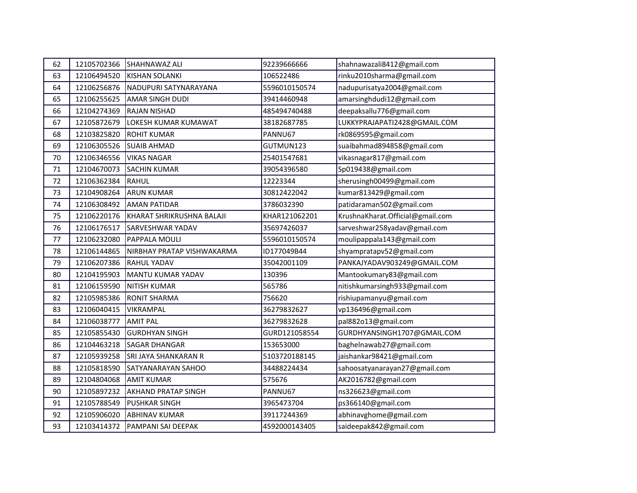| 62 | 12105702366 | <b>SHAHNAWAZ ALI</b>        | 92239666666   | shahnawazali8412@gmail.com       |
|----|-------------|-----------------------------|---------------|----------------------------------|
| 63 | 12106494520 | <b>KISHAN SOLANKI</b>       | 106522486     | rinku2010sharma@gmail.com        |
| 64 | 12106256876 | NADUPURI SATYNARAYANA       | 5596010150574 | nadupurisatya2004@gmail.com      |
| 65 | 12106255625 | <b>AMAR SINGH DUDI</b>      | 39414460948   | amarsinghdudi12@gmail.com        |
| 66 | 12104274369 | <b>RAJAN NISHAD</b>         | 485494740488  | deepaksallu776@gmail.com         |
| 67 | 12105872679 | LOKESH KUMAR KUMAWAT        | 38182687785   | LUKKYPRAJAPATI2428@GMAIL.COM     |
| 68 | 12103825820 | <b>ROHIT KUMAR</b>          | PANNU67       | rk0869595@gmail.com              |
| 69 | 12106305526 | <b>SUAIB AHMAD</b>          | GUTMUN123     | suaibahmad894858@gmail.com       |
| 70 | 12106346556 | <b>VIKAS NAGAR</b>          | 25401547681   | vikasnagar817@gmail.com          |
| 71 | 12104670073 | <b>SACHIN KUMAR</b>         | 39054396580   | Sp019438@gmail.com               |
| 72 | 12106362384 | RAHUL                       | 12223344      | sherusingh00499@gmail.com        |
| 73 | 12104908264 | <b>ARUN KUMAR</b>           | 30812422042   | kumar813429@gmail.com            |
| 74 | 12106308492 | <b>AMAN PATIDAR</b>         | 3786032390    | patidaraman502@gmail.com         |
| 75 | 12106220176 | KHARAT SHRIKRUSHNA BALAJI   | KHAR121062201 | KrushnaKharat.Official@gmail.com |
| 76 | 12106176517 | <b>SARVESHWAR YADAV</b>     | 35697426037   | sarveshwar258yadav@gmail.com     |
| 77 | 12106232080 | <b>PAPPALA MOULI</b>        | 5596010150574 | moulipappala143@gmail.com        |
| 78 | 12106144865 | NIRBHAY PRATAP VISHWAKARMA  | ID177049B44   | shyampratapv52@gmail.com         |
| 79 | 12106207386 | <b>RAHUL YADAV</b>          | 35042001109   | PANKAJYADAV903249@GMAIL.COM      |
| 80 | 12104195903 | MANTU KUMAR YADAV           | 130396        | Mantookumary83@gmail.com         |
| 81 | 12106159590 | <b>NITISH KUMAR</b>         | 565786        | nitishkumarsingh933@gmail.com    |
| 82 | 12105985386 | <b>RONIT SHARMA</b>         | 756620        | rishiupamanyu@gmail.com          |
| 83 | 12106040415 | VIKRAMPAL                   | 36279832627   | vp136496@gmail.com               |
| 84 | 12106038777 | <b>AMIT PAL</b>             | 36279832628   | pal882o13@gmail.com              |
| 85 | 12105855430 | <b>GURDHYAN SINGH</b>       | GURD121058554 | GURDHYANSINGH1707@GMAIL.COM      |
| 86 | 12104463218 | <b>SAGAR DHANGAR</b>        | 153653000     | baghelnawab27@gmail.com          |
| 87 | 12105939258 | <b>SRI JAYA SHANKARAN R</b> | 5103720188145 | jaishankar98421@gmail.com        |
| 88 | 12105818590 | <b>SATYANARAYAN SAHOO</b>   | 34488224434   | sahoosatyanarayan27@gmail.com    |
| 89 | 12104804068 | <b>AMIT KUMAR</b>           | 575676        | AK2016782@gmail.com              |
| 90 | 12105897232 | <b>AKHAND PRATAP SINGH</b>  | PANNU67       | ns326623@gmail.com               |
| 91 | 12105788549 | <b>PUSHKAR SINGH</b>        | 3965473704    | ps366140@gmail.com               |
| 92 | 12105906020 | <b>ABHINAV KUMAR</b>        | 39117244369   | abhinavghome@gmail.com           |
| 93 | 12103414372 | PAMPANI SAI DEEPAK          | 4592000143405 | saideepak842@gmail.com           |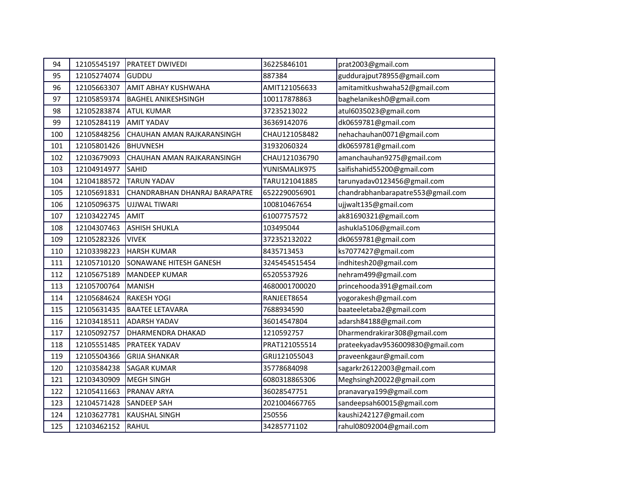| 94  | 12105545197 | <b>PRATEET DWIVEDI</b>        | 36225846101   | prat2003@gmail.com                |
|-----|-------------|-------------------------------|---------------|-----------------------------------|
| 95  | 12105274074 | GUDDU                         | 887384        | guddurajput78955@gmail.com        |
| 96  | 12105663307 | <b>AMIT ABHAY KUSHWAHA</b>    | AMIT121056633 | amitamitkushwaha52@gmail.com      |
| 97  | 12105859374 | <b>BAGHEL ANIKESHSINGH</b>    | 100117878863  | baghelanikesh0@gmail.com          |
| 98  | 12105283874 | <b>ATUL KUMAR</b>             | 37235213022   | atul6035023@gmail.com             |
| 99  | 12105284119 | <b>AMIT YADAV</b>             | 36369142076   | dk0659781@gmail.com               |
| 100 | 12105848256 | CHAUHAN AMAN RAJKARANSINGH    | CHAU121058482 | nehachauhan0071@gmail.com         |
| 101 | 12105801426 | <b>BHUVNESH</b>               | 31932060324   | dk0659781@gmail.com               |
| 102 | 12103679093 | CHAUHAN AMAN RAJKARANSINGH    | CHAU121036790 | amanchauhan9275@gmail.com         |
| 103 | 12104914977 | <b>SAHID</b>                  | YUNISMALIK975 | saifishahid55200@gmail.com        |
| 104 | 12104188572 | <b>TARUN YADAV</b>            | TARU121041885 | tarunyadav0123456@gmail.com       |
| 105 | 12105691831 | CHANDRABHAN DHANRAJ BARAPATRE | 6522290056901 | chandrabhanbarapatre553@gmail.com |
| 106 | 12105096375 | UJJWAL TIWARI                 | 100810467654  | ujjwalt135@gmail.com              |
| 107 | 12103422745 | <b>AMIT</b>                   | 61007757572   | ak81690321@gmail.com              |
| 108 | 12104307463 | <b>ASHISH SHUKLA</b>          | 103495044     | ashukla5106@gmail.com             |
| 109 | 12105282326 | <b>VIVEK</b>                  | 372352132022  | dk0659781@gmail.com               |
| 110 | 12103398223 | <b>HARSH KUMAR</b>            | 8435713453    | ks7077427@gmail.com               |
| 111 | 12105710120 | <b>SONAWANE HITESH GANESH</b> | 3245454515454 | indhitesh20@gmail.com             |
| 112 | 12105675189 | <b>MANDEEP KUMAR</b>          | 65205537926   | nehram499@gmail.com               |
| 113 | 12105700764 | <b>MANISH</b>                 | 4680001700020 | princehooda391@gmail.com          |
| 114 | 12105684624 | <b>RAKESH YOGI</b>            | RANJEET8654   | yogorakesh@gmail.com              |
| 115 | 12105631435 | <b>BAATEE LETAVARA</b>        | 7688934590    | baateeletaba2@gmail.com           |
| 116 | 12103418511 | <b>ADARSH YADAV</b>           | 36014547804   | adarsh84188@gmail.com             |
| 117 | 12105092757 | <b>DHARMENDRA DHAKAD</b>      | 1210592757    | Dharmendrakirar308@gmail.com      |
| 118 | 12105551485 | <b>PRATEEK YADAV</b>          | PRAT121055514 | prateekyadav9536009830@gmail.com  |
| 119 | 12105504366 | <b>GRIJA SHANKAR</b>          | GRIJ121055043 | praveenkgaur@gmail.com            |
| 120 | 12103584238 | <b>SAGAR KUMAR</b>            | 35778684098   | sagarkr26122003@gmail.com         |
| 121 | 12103430909 | <b>MEGH SINGH</b>             | 6080318865306 | Meghsingh20022@gmail.com          |
| 122 | 12105411663 | <b>PRANAV ARYA</b>            | 36028547751   | pranavarya199@gmail.com           |
| 123 | 12104571428 | <b>SANDEEP SAH</b>            | 2021004667765 | sandeepsah60015@gmail.com         |
| 124 | 12103627781 | <b>KAUSHAL SINGH</b>          | 250556        | kaushi242127@gmail.com            |
| 125 | 12103462152 | RAHUL                         | 34285771102   | rahul08092004@gmail.com           |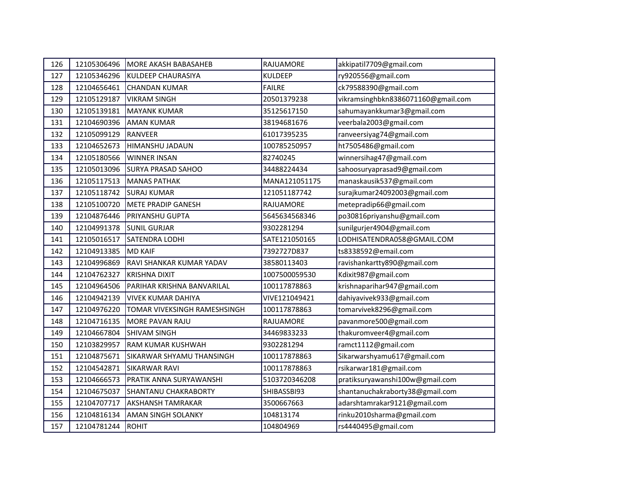| 126 | 12105306496 | MORE AKASH BABASAHEB         | RAJUAMORE      | akkipatil7709@gmail.com            |
|-----|-------------|------------------------------|----------------|------------------------------------|
| 127 | 12105346296 | KULDEEP CHAURASIYA           | <b>KULDEEP</b> | ry920556@gmail.com                 |
| 128 | 12104656461 | <b>CHANDAN KUMAR</b>         | <b>FAILRE</b>  | ck79588390@gmail.com               |
| 129 | 12105129187 | <b>VIKRAM SINGH</b>          | 20501379238    | vikramsinghbkn8386071160@gmail.com |
| 130 | 12105139181 | <b>MAYANK KUMAR</b>          | 35125617150    | sahumayankkumar3@gmail.com         |
| 131 | 12104690396 | <b>AMAN KUMAR</b>            | 38194681676    | veerbala2003@gmail.com             |
| 132 | 12105099129 | <b>RANVEER</b>               | 61017395235    | ranveersiyag74@gmail.com           |
| 133 | 12104652673 | <b>HIMANSHU JADAUN</b>       | 100785250957   | ht7505486@gmail.com                |
| 134 | 12105180566 | <b>WINNER INSAN</b>          | 82740245       | winnersihag47@gmail.com            |
| 135 | 12105013096 | <b>SURYA PRASAD SAHOO</b>    | 34488224434    | sahoosuryaprasad9@gmail.com        |
| 136 | 12105117513 | <b>MANAS PATHAK</b>          | MANA121051175  | manaskausik537@gmail.com           |
| 137 | 12105118742 | <b>SURAJ KUMAR</b>           | 121051187742   | surajkumar24092003@gmail.com       |
| 138 | 12105100720 | <b>METE PRADIP GANESH</b>    | RAJUAMORE      | metepradip66@gmail.com             |
| 139 | 12104876446 | <b>PRIYANSHU GUPTA</b>       | 5645634568346  | po30816priyanshu@gmail.com         |
| 140 | 12104991378 | <b>SUNIL GURJAR</b>          | 9302281294     | sunilgurjer4904@gmail.com          |
| 141 | 12105016517 | <b>SATENDRA LODHI</b>        | SATE121050165  | LODHISATENDRA058@GMAIL.COM         |
| 142 | 12104913385 | <b>MD KAIF</b>               | 7392727D837    | ts8338592@email.com                |
| 143 | 12104996869 | RAVI SHANKAR KUMAR YADAV     | 38580113403    | ravishankartty890@gmail.com        |
| 144 | 12104762327 | <b>KRISHNA DIXIT</b>         | 1007500059530  | Kdixit987@gmail.com                |
| 145 | 12104964506 | PARIHAR KRISHNA BANVARILAL   | 100117878863   | krishnaparihar947@gmail.com        |
| 146 | 12104942139 | <b>VIVEK KUMAR DAHIYA</b>    | VIVE121049421  | dahiyavivek933@gmail.com           |
| 147 | 12104976220 | TOMAR VIVEKSINGH RAMESHSINGH | 100117878863   | tomarvivek8296@gmail.com           |
| 148 | 12104716135 | MORE PAVAN RAJU              | RAJUAMORE      | pavanmore500@gmail.com             |
| 149 | 12104667804 | <b>SHIVAM SINGH</b>          | 34469833233    | thakuromveer4@gmail.com            |
| 150 | 12103829957 | RAM KUMAR KUSHWAH            | 9302281294     | ramct1112@gmail.com                |
| 151 | 12104875671 | SIKARWAR SHYAMU THANSINGH    | 100117878863   | Sikarwarshyamu617@gmail.com        |
| 152 | 12104542871 | <b>SIKARWAR RAVI</b>         | 100117878863   | rsikarwar181@gmail.com             |
| 153 | 12104666573 | PRATIK ANNA SURYAWANSHI      | 5103720346208  | pratiksuryawanshi100w@gmail.com    |
| 154 | 12104675037 | <b>SHANTANU CHAKRABORTY</b>  | SHIBASSBI93    | shantanuchakraborty38@gmail.com    |
| 155 | 12104707717 | <b>AKSHANSH TAMRAKAR</b>     | 3500667663     | adarshtamrakar9121@gmail.com       |
| 156 | 12104816134 | <b>AMAN SINGH SOLANKY</b>    | 104813174      | rinku2010sharma@gmail.com          |
| 157 | 12104781244 | ROHIT                        | 104804969      | rs4440495@gmail.com                |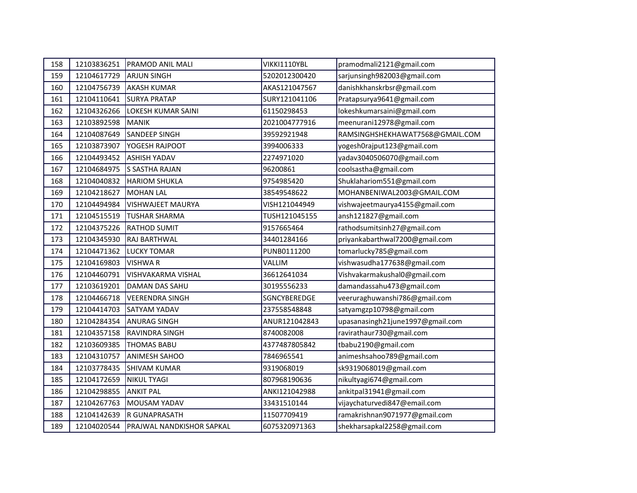| 158 | 12103836251 | <b>PRAMOD ANIL MALI</b>          | VIKKI1110YBL  | pramodmali2121@gmail.com         |
|-----|-------------|----------------------------------|---------------|----------------------------------|
| 159 | 12104617729 | <b>ARJUN SINGH</b>               | 5202012300420 | sarjunsingh982003@gmail.com      |
| 160 | 12104756739 | <b>AKASH KUMAR</b>               | AKAS121047567 | danishkhanskrbsr@gmail.com       |
| 161 | 12104110641 | <b>SURYA PRATAP</b>              | SURY121041106 | Pratapsurya9641@gmail.com        |
| 162 | 12104326266 | <b>LOKESH KUMAR SAINI</b>        | 61150298453   | lokeshkumarsaini@gmail.com       |
| 163 | 12103892598 | <b>MANIK</b>                     | 2021004777916 | meenurani12978@gmail.com         |
| 164 | 12104087649 | SANDEEP SINGH                    | 39592921948   | RAMSINGHSHEKHAWAT7568@GMAIL.COM  |
| 165 | 12103873907 | <b>YOGESH RAJPOOT</b>            | 3994006333    | yogesh0rajput123@gmail.com       |
| 166 | 12104493452 | <b>ASHISH YADAV</b>              | 2274971020    | yadav3040506070@gmail.com        |
| 167 | 12104684975 | <b>S SASTHA RAJAN</b>            | 96200861      | coolsastha@gmail.com             |
| 168 | 12104040832 | <b>HARIOM SHUKLA</b>             | 9754985420    | Shuklahariom551@gmail.com        |
| 169 | 12104218627 | MOHAN LAL                        | 38549548622   | MOHANBENIWAL2003@GMAIL.COM       |
| 170 | 12104494984 | <b>VISHWAJEET MAURYA</b>         | VISH121044949 | vishwajeetmaurya4155@gmail.com   |
| 171 | 12104515519 | <b>TUSHAR SHARMA</b>             | TUSH121045155 | ansh121827@gmail.com             |
| 172 | 12104375226 | <b>RATHOD SUMIT</b>              | 9157665464    | rathodsumitsinh27@gmail.com      |
| 173 | 12104345930 | <b>RAJ BARTHWAL</b>              | 34401284166   | priyankabarthwal7200@gmail.com   |
| 174 | 12104471362 | <b>LUCKY TOMAR</b>               | PUNB0111200   | tomarlucky785@gmail.com          |
| 175 | 12104169803 | <b>VISHWAR</b>                   | VALLIM        | vishwasudha177638@gmail.com      |
| 176 | 12104460791 | <b>VISHVAKARMA VISHAL</b>        | 36612641034   | Vishvakarmakushal0@gmail.com     |
| 177 | 12103619201 | DAMAN DAS SAHU                   | 30195556233   | damandassahu473@gmail.com        |
| 178 | 12104466718 | <b>VEERENDRA SINGH</b>           | SGNCYBEREDGE  | veeruraghuwanshi786@gmail.com    |
| 179 | 12104414703 | <b>SATYAM YADAV</b>              | 237558548848  | satyamgzp10798@gmail.com         |
| 180 | 12104284354 | <b>ANURAG SINGH</b>              | ANUR121042843 | upasanasingh21june1997@gmail.com |
| 181 | 12104357158 | <b>IRAVINDRA SINGH</b>           | 8740082008    | ravirathaur730@gmail.com         |
| 182 | 12103609385 | <b>THOMAS BABU</b>               | 4377487805842 | tbabu2190@gmail.com              |
| 183 | 12104310757 | <b>ANIMESH SAHOO</b>             | 7846965541    | animeshsahoo789@gmail.com        |
| 184 | 12103778435 | <b>SHIVAM KUMAR</b>              | 9319068019    | sk9319068019@gmail.com           |
| 185 | 12104172659 | <b>NIKUL TYAGI</b>               | 807968190636  | nikultyagi674@gmail.com          |
| 186 | 12104298855 | <b>ANKIT PAL</b>                 | ANKI121042988 | ankitpal31941@gmail.com          |
| 187 | 12104267763 | MOUSAM YADAV                     | 33431510144   | vijaychaturvedi847@email.com     |
| 188 | 12104142639 | R GUNAPRASATH                    | 11507709419   | ramakrishnan9071977@gmail.com    |
| 189 | 12104020544 | <b>PRAJWAL NANDKISHOR SAPKAL</b> | 6075320971363 | shekharsapkal2258@gmail.com      |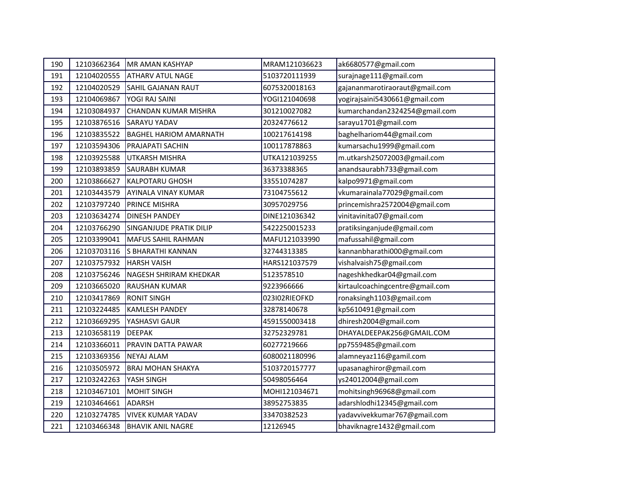| 190 | 12103662364 | MR AMAN KASHYAP                | MRAM121036623 | ak6680577@gmail.com             |
|-----|-------------|--------------------------------|---------------|---------------------------------|
| 191 | 12104020555 | <b>ATHARV ATUL NAGE</b>        | 5103720111939 | surajnage111@gmail.com          |
| 192 | 12104020529 | <b>SAHIL GAJANAN RAUT</b>      | 6075320018163 | gajananmarotiraoraut@gmail.com  |
| 193 | 12104069867 | YOGI RAJ SAINI                 | YOGI121040698 | yogirajsaini5430661@gmail.com   |
| 194 | 12103084937 | <b>CHANDAN KUMAR MISHRA</b>    | 301210027082  | kumarchandan2324254@gmail.com   |
| 195 | 12103876516 | <b>SARAYU YADAV</b>            | 20324776612   | sarayu1701@gmail.com            |
| 196 | 12103835522 | <b>BAGHEL HARIOM AMARNATH</b>  | 100217614198  | baghelhariom44@gmail.com        |
| 197 | 12103594306 | <b>PRAJAPATI SACHIN</b>        | 100117878863  | kumarsachu1999@gmail.com        |
| 198 | 12103925588 | UTKARSH MISHRA                 | UTKA121039255 | m.utkarsh25072003@gmail.com     |
| 199 | 12103893859 | <b>SAURABH KUMAR</b>           | 36373388365   | anandsaurabh733@gmail.com       |
| 200 | 12103866627 | <b>KALPOTARU GHOSH</b>         | 33551074287   | kalpo9971@gmail.com             |
| 201 | 12103443579 | AYINALA VINAY KUMAR            | 73104755612   | vkumarainala77029@gmail.com     |
| 202 | 12103797240 | <b>PRINCE MISHRA</b>           | 30957029756   | princemishra2572004@gmail.com   |
| 203 | 12103634274 | <b>DINESH PANDEY</b>           | DINE121036342 | vinitavinita07@gmail.com        |
| 204 | 12103766290 | <b>SINGANJUDE PRATIK DILIP</b> | 5422250015233 | pratiksinganjude@gmail.com      |
| 205 | 12103399041 | <b>MAFUS SAHIL RAHMAN</b>      | MAFU121033990 | mafussahil@gmail.com            |
| 206 | 12103703116 | S BHARATHI KANNAN              | 32744313385   | kannanbharathi000@gmail.com     |
| 207 | 12103757932 | <b>HARSH VAISH</b>             | HARS121037579 | vishalvaish75@gmail.com         |
| 208 | 12103756246 | <b>NAGESH SHRIRAM KHEDKAR</b>  | 5123578510    | nageshkhedkar04@gmail.com       |
| 209 | 12103665020 | <b>RAUSHAN KUMAR</b>           | 9223966666    | kirtaulcoachingcentre@gmail.com |
| 210 | 12103417869 | <b>RONIT SINGH</b>             | 023I02RIEOFKD | ronaksingh1103@gmail.com        |
| 211 | 12103224485 | <b>KAMLESH PANDEY</b>          | 32878140678   | kp5610491@gmail.com             |
| 212 | 12103669295 | YASHASVI GAUR                  | 4591550003418 | dhiresh2004@gmail.com           |
| 213 | 12103658119 | <b>DEEPAK</b>                  | 32752329781   | DHAYALDEEPAK256@GMAIL.COM       |
| 214 | 12103366011 | PRAVIN DATTA PAWAR             | 60277219666   | pp7559485@gmail.com             |
| 215 | 12103369356 | <b>NEYAJ ALAM</b>              | 6080021180996 | alamneyaz116@gamil.com          |
| 216 | 12103505972 | <b>BRAJ MOHAN SHAKYA</b>       | 5103720157777 | upasanaghiror@gmail.com         |
| 217 | 12103242263 | YASH SINGH                     | 50498056464   | ys24012004@gmail.com            |
| 218 | 12103467101 | <b>MOHIT SINGH</b>             | MOHI121034671 | mohitsingh96968@gmail.com       |
| 219 | 12103464661 | <b>ADARSH</b>                  | 38952753835   | adarshlodhi12345@gmail.com      |
| 220 | 12103274785 | <b>VIVEK KUMAR YADAV</b>       | 33470382523   | yadavvivekkumar767@gmail.com    |
| 221 | 12103466348 | <b>BHAVIK ANIL NAGRE</b>       | 12126945      | bhaviknagre1432@gmail.com       |